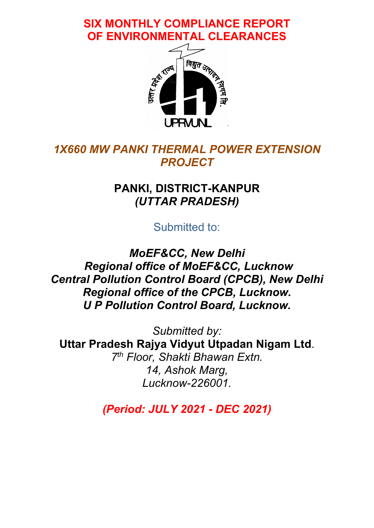SIX MONTHLY COMPLIANCE REPORT OF ENVIRONMENTAL CLEARANCES



## 1X660 MW PANKI THERMAL POWER EXTENSION **PROJECT**

## PANKI, DISTRICT-KANPUR (UTTAR PRADESH)

Submitted to:

MoEF&CC, New Delhi Regional office of MoEF&CC, Lucknow Central Pollution Control Board (CPCB), New Delhi Regional office of the CPCB, Lucknow. U P Pollution Control Board, Lucknow.

Submitted by: Uttar Pradesh Rajya Vidyut Utpadan Nigam Ltd. 7<sup>th</sup> Floor, Shakti Bhawan Extn. 14, Ashok Marg, Lucknow-226001.

(Period: JULY 2021 - DEC 2021)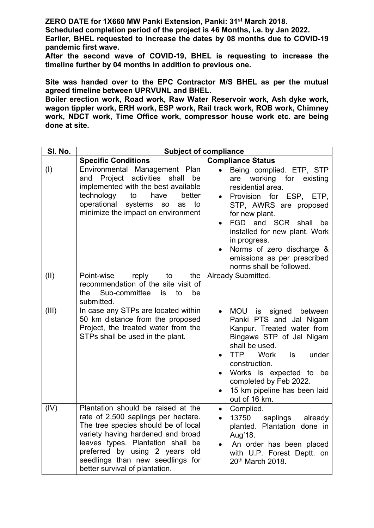ZERO DATE for 1X660 MW Panki Extension, Panki: 31st March 2018.

Scheduled completion period of the project is 46 Months, i.e. by Jan 2022.

Earlier, BHEL requested to increase the dates by 08 months due to COVID-19 pandemic first wave.

After the second wave of COVID-19, BHEL is requesting to increase the timeline further by 04 months in addition to previous one.

Site was handed over to the EPC Contractor M/S BHEL as per the mutual agreed timeline between UPRVUNL and BHEL.

Boiler erection work, Road work, Raw Water Reservoir work, Ash dyke work, wagon tippler work, ERH work, ESP work, Rail track work, ROB work, Chimney work, NDCT work, Time Office work, compressor house work etc. are being done at site.

| SI. No. |                                                                                                                                                                                                                                                                                                    | <b>Subject of compliance</b>                                                                                                                                                                                                                                                                                                              |
|---------|----------------------------------------------------------------------------------------------------------------------------------------------------------------------------------------------------------------------------------------------------------------------------------------------------|-------------------------------------------------------------------------------------------------------------------------------------------------------------------------------------------------------------------------------------------------------------------------------------------------------------------------------------------|
|         | <b>Specific Conditions</b>                                                                                                                                                                                                                                                                         | <b>Compliance Status</b>                                                                                                                                                                                                                                                                                                                  |
| (1)     | Environmental Management Plan<br>Project activities shall<br>be<br>and<br>implemented with the best available<br>technology<br>to<br>have<br>better<br>operational<br>systems<br>to<br>SO<br>as<br>minimize the impact on environment                                                              | Being complied. ETP, STP<br>are working for existing<br>residential area.<br>Provision for ESP, ETP,<br>STP, AWRS are proposed<br>for new plant.<br>FGD and SCR<br>shall<br>be<br>installed for new plant. Work<br>in progress.<br>Norms of zero discharge &<br>emissions as per prescribed<br>norms shall be followed.                   |
| (II)    | Point-wise<br>reply<br>to<br>the<br>recommendation of the site visit of<br>Sub-committee<br>is<br>to<br>be<br>the.<br>submitted.                                                                                                                                                                   | Already Submitted.                                                                                                                                                                                                                                                                                                                        |
| (III)   | In case any STPs are located within<br>50 km distance from the proposed<br>Project, the treated water from the<br>STPs shall be used in the plant.                                                                                                                                                 | <b>MOU</b><br>signed<br>is<br>between<br>$\bullet$<br>Panki PTS and Jal Nigam<br>Kanpur. Treated water from<br>Bingawa STP of Jal Nigam<br>shall be used.<br><b>TTP</b><br><b>Work</b><br>is<br>under<br>construction.<br>Works is expected to be<br>completed by Feb 2022.<br>15 km pipeline has been laid<br>$\bullet$<br>out of 16 km. |
| (IV)    | Plantation should be raised at the<br>rate of 2,500 saplings per hectare.<br>The tree species should be of local<br>variety having hardened and broad<br>leaves types. Plantation shall be<br>preferred by using 2 years old<br>seedlings than new seedlings for<br>better survival of plantation. | Complied.<br>$\bullet$<br>13750 saplings already<br>$\bullet$<br>planted. Plantation done in<br>Aug'18.<br>An order has been placed<br>with U.P. Forest Deptt. on<br>20 <sup>th</sup> March 2018.                                                                                                                                         |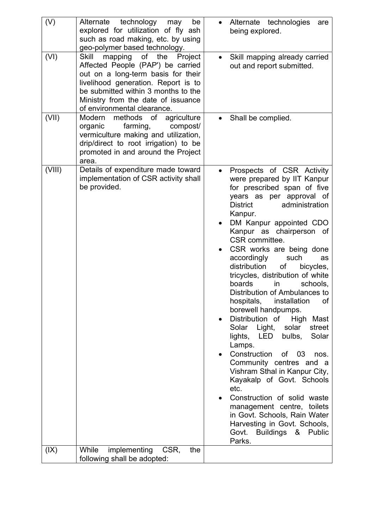| (VI)<br>mapping of the<br>Skill<br>Project<br>Affected People (PAP') be carried<br>out and report submitted.<br>out on a long-term basis for their<br>livelihood generation. Report is to<br>be submitted within 3 months to the<br>Ministry from the date of issuance<br>of environmental clearance.<br>(VII)<br>Modern methods of agriculture<br>Shall be complied.<br>farming,<br>organic<br>compost/<br>vermiculture making and utilization,<br>drip/direct to root irrigation) to be<br>promoted in and around the Project<br>area.<br>(VIII)<br>Details of expenditure made toward<br>implementation of CSR activity shall<br>be provided.<br><b>District</b><br>Kanpur.<br>CSR committee.<br>accordingly<br>such<br>distribution<br>of<br>boards<br>in<br>hospitals,<br>installation<br>borewell handpumps.<br>Distribution of<br>$\bullet$<br>Solar Light,<br>solar<br>bulbs,<br>lights, LED<br>Lamps.<br>Construction<br>of 03<br>$\bullet$<br>etc.<br>Govt.<br>Parks.<br>(IX)<br>While<br>implementing<br>CSR,<br>the | (V) | Alternate technology may<br>be<br>explored for utilization of fly ash<br>such as road making, etc. by using<br>geo-polymer based technology. | Alternate technologies<br>are<br>being explored.                                                                                                                                                                                                                                                                                                                                                                                                                                                                                                                                                                       |
|---------------------------------------------------------------------------------------------------------------------------------------------------------------------------------------------------------------------------------------------------------------------------------------------------------------------------------------------------------------------------------------------------------------------------------------------------------------------------------------------------------------------------------------------------------------------------------------------------------------------------------------------------------------------------------------------------------------------------------------------------------------------------------------------------------------------------------------------------------------------------------------------------------------------------------------------------------------------------------------------------------------------------------|-----|----------------------------------------------------------------------------------------------------------------------------------------------|------------------------------------------------------------------------------------------------------------------------------------------------------------------------------------------------------------------------------------------------------------------------------------------------------------------------------------------------------------------------------------------------------------------------------------------------------------------------------------------------------------------------------------------------------------------------------------------------------------------------|
|                                                                                                                                                                                                                                                                                                                                                                                                                                                                                                                                                                                                                                                                                                                                                                                                                                                                                                                                                                                                                                 |     |                                                                                                                                              | Skill mapping already carried                                                                                                                                                                                                                                                                                                                                                                                                                                                                                                                                                                                          |
|                                                                                                                                                                                                                                                                                                                                                                                                                                                                                                                                                                                                                                                                                                                                                                                                                                                                                                                                                                                                                                 |     |                                                                                                                                              |                                                                                                                                                                                                                                                                                                                                                                                                                                                                                                                                                                                                                        |
|                                                                                                                                                                                                                                                                                                                                                                                                                                                                                                                                                                                                                                                                                                                                                                                                                                                                                                                                                                                                                                 |     |                                                                                                                                              | Prospects of CSR Activity<br>were prepared by IIT Kanpur<br>for prescribed span of five<br>years as per approval of<br>administration<br>DM Kanpur appointed CDO<br>Kanpur as chairperson of<br>CSR works are being done<br>as<br>bicycles,<br>tricycles, distribution of white<br>schools,<br>Distribution of Ambulances to<br>of<br>High Mast<br>street<br>Solar<br>nos.<br>Community centres and a<br>Vishram Sthal in Kanpur City,<br>Kayakalp of Govt. Schools<br>Construction of solid waste<br>management centre, toilets<br>in Govt. Schools, Rain Water<br>Harvesting in Govt. Schools,<br>Buildings & Public |
|                                                                                                                                                                                                                                                                                                                                                                                                                                                                                                                                                                                                                                                                                                                                                                                                                                                                                                                                                                                                                                 |     | following shall be adopted:                                                                                                                  |                                                                                                                                                                                                                                                                                                                                                                                                                                                                                                                                                                                                                        |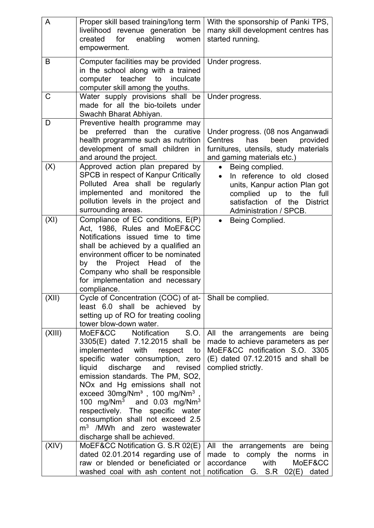| A      | Proper skill based training/long term                                                                 | With the sponsorship of Panki TPS,            |
|--------|-------------------------------------------------------------------------------------------------------|-----------------------------------------------|
|        | livelihood revenue generation be                                                                      | many skill development centres has            |
|        | for<br>enabling<br>created<br>women                                                                   | started running.                              |
|        | empowerment.                                                                                          |                                               |
| B      | Computer facilities may be provided                                                                   | Under progress.                               |
|        | in the school along with a trained                                                                    |                                               |
|        | computer teacher<br>inculcate<br>to                                                                   |                                               |
|        | computer skill among the youths.                                                                      |                                               |
| C      | Water supply provisions shall be                                                                      | Under progress.                               |
|        | made for all the bio-toilets under                                                                    |                                               |
|        | Swachh Bharat Abhiyan.                                                                                |                                               |
| D      | Preventive health programme may                                                                       |                                               |
|        | be preferred than the curative                                                                        | Under progress. (08 nos Anganwadi             |
|        | health programme such as nutrition                                                                    | Centres<br>has<br>been<br>provided            |
|        | development of small children in                                                                      | furnitures, utensils, study materials         |
| (X)    | and around the project.<br>Approved action plan prepared by                                           | and gaming materials etc.)<br>Being complied. |
|        | SPCB in respect of Kanpur Critically                                                                  | In reference to old closed                    |
|        | Polluted Area shall be regularly                                                                      | units, Kanpur action Plan got                 |
|        | implemented and monitored the                                                                         | complied up to the full                       |
|        | pollution levels in the project and                                                                   | satisfaction of the District                  |
|        | surrounding areas.                                                                                    | Administration / SPCB.                        |
| (XI)   | Compliance of EC conditions, E(P)                                                                     | Being Complied.                               |
|        | Act, 1986, Rules and MoEF&CC                                                                          |                                               |
|        | Notifications issued time to time                                                                     |                                               |
|        | shall be achieved by a qualified an                                                                   |                                               |
|        | environment officer to be nominated                                                                   |                                               |
|        | by the Project Head<br>of the                                                                         |                                               |
|        | Company who shall be responsible                                                                      |                                               |
|        | for implementation and necessary<br>compliance.                                                       |                                               |
| (XII)  | Cycle of Concentration (COC) of at-                                                                   | Shall be complied.                            |
|        | least 6.0 shall be achieved by                                                                        |                                               |
|        | setting up of RO for treating cooling                                                                 |                                               |
|        | tower blow-down water.                                                                                |                                               |
| (XIII) | MoEF&CC Notification<br>S.O.                                                                          | All the arrangements are being                |
|        | 3305(E) dated 7.12.2015 shall be                                                                      | made to achieve parameters as per             |
|        | implemented with respect<br>to                                                                        | MoEF&CC notification S.O. 3305                |
|        | specific water consumption, zero                                                                      | $(E)$ dated 07.12.2015 and shall be           |
|        | liquid<br>discharge<br>and<br>revised                                                                 | complied strictly.                            |
|        | emission standards. The PM, SO2,                                                                      |                                               |
|        | NOx and Hg emissions shall not                                                                        |                                               |
|        | exceed $30$ mg/Nm <sup>3</sup> , 100 mg/Nm <sup>3</sup> ,<br>100 $mg/Nm3$ and 0.03 mg/Nm <sup>3</sup> |                                               |
|        | respectively. The specific water                                                                      |                                               |
|        | consumption shall not exceed 2.5                                                                      |                                               |
|        | $m3$ /MWh and zero wastewater                                                                         |                                               |
|        | discharge shall be achieved.                                                                          |                                               |
| (XIV)  | MoEF&CC Notification G. S.R 02(E)                                                                     | All the arrangements are<br>being             |
|        | dated 02.01.2014 regarding use of                                                                     | made to comply the<br>norms in                |
|        | raw or blended or beneficiated or                                                                     | accordance<br>with<br>MoEF&CC                 |
|        | washed coal with ash content not                                                                      | notification G. S.R 02(E)<br>dated            |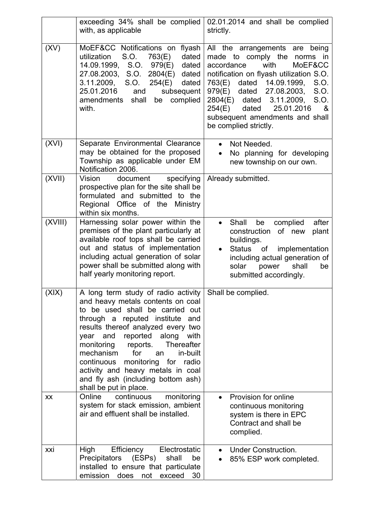|           | exceeding 34% shall be complied<br>with, as applicable                                                                                                                                                                                                                                                                                                                                                                                                             | 02.01.2014 and shall be complied<br>strictly.                                                                                                                                                                                                                                                                                                                         |
|-----------|--------------------------------------------------------------------------------------------------------------------------------------------------------------------------------------------------------------------------------------------------------------------------------------------------------------------------------------------------------------------------------------------------------------------------------------------------------------------|-----------------------------------------------------------------------------------------------------------------------------------------------------------------------------------------------------------------------------------------------------------------------------------------------------------------------------------------------------------------------|
| (XV)      | MoEF&CC Notifications on<br>flyash<br>S.O.<br>dated<br>utilization<br>763(E)<br>14.09.1999, S.O. 979(E)<br>dated<br>27.08.2003, S.O.<br>2804(E)<br>dated<br>3.11.2009, S.O.<br>254(E)<br>dated<br>25.01.2016<br>subsequent<br>and<br>amendments shall<br>complied<br>be<br>with.                                                                                                                                                                                   | All the arrangements are<br>being<br>made to comply the norms in<br>with<br>accordance<br>MoEF&CC<br>notification on flyash utilization S.O.<br>dated 14.09.1999,<br>763(E)<br>S.O.<br>979(E)<br>dated 27.08.2003,<br>S.O.<br>$2804(E)$ dated<br>3.11.2009,<br>S.O.<br>dated<br>25.01.2016<br>254(E)<br>&<br>subsequent amendments and shall<br>be complied strictly. |
| (XVI)     | Separate Environmental Clearance<br>may be obtained for the proposed<br>Township as applicable under EM<br>Notification 2006.                                                                                                                                                                                                                                                                                                                                      | Not Needed.<br>$\bullet$<br>No planning for developing<br>new township on our own.                                                                                                                                                                                                                                                                                    |
| (XVII)    | document<br>specifying<br>Vision<br>prospective plan for the site shall be<br>formulated and submitted to the<br>Regional Office of the Ministry<br>within six months.                                                                                                                                                                                                                                                                                             | Already submitted.                                                                                                                                                                                                                                                                                                                                                    |
| (XVIII)   | Harnessing solar power within the<br>premises of the plant particularly at<br>available roof tops shall be carried<br>out and status of implementation<br>including actual generation of solar<br>power shall be submitted along with<br>half yearly monitoring report.                                                                                                                                                                                            | Shall<br>be<br>complied<br>after<br>$\bullet$<br>of new<br>construction<br>plant<br>buildings.<br>implementation<br>Status of<br>including actual generation of<br>solar<br>power<br>shall<br>be<br>submitted accordingly.                                                                                                                                            |
| (X X)     | A long term study of radio activity   Shall be complied.<br>and heavy metals contents on coal<br>to be used shall be carried out<br>through a reputed institute<br>and<br>results thereof analyzed every two<br>year and reported along with<br>Thereafter<br>monitoring<br>reports.<br>for<br>mechanism<br>in-built<br>an<br>continuous monitoring for radio<br>activity and heavy metals in coal<br>and fly ash (including bottom ash)<br>shall be put in place. |                                                                                                                                                                                                                                                                                                                                                                       |
| <b>XX</b> | Online<br>continuous<br>monitoring<br>system for stack emission, ambient<br>air and effluent shall be installed.                                                                                                                                                                                                                                                                                                                                                   | Provision for online<br>continuous monitoring<br>system is there in EPC<br>Contract and shall be<br>complied.                                                                                                                                                                                                                                                         |
| xxi       | High<br>Efficiency<br>Electrostatic<br>Precipitators<br>(ESPs)<br>shall<br>be<br>installed to ensure that particulate<br>emission does<br>not<br>exceed<br>30                                                                                                                                                                                                                                                                                                      | <b>Under Construction.</b><br>85% ESP work completed.                                                                                                                                                                                                                                                                                                                 |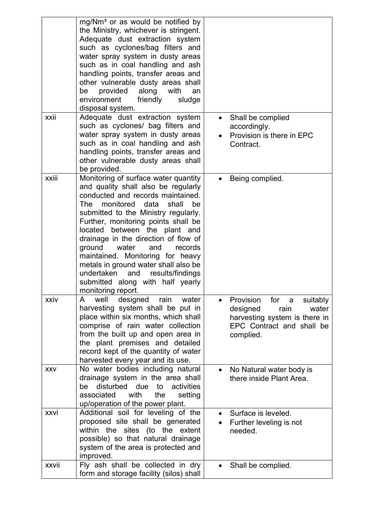|             | mg/Nm <sup>3</sup> or as would be notified by<br>the Ministry, whichever is stringent.<br>Adequate dust extraction system<br>such as cyclones/bag filters and<br>water spray system in dusty areas<br>such as in coal handling and ash<br>handling points, transfer areas and<br>other vulnerable dusty areas shall<br>along<br>provided<br>with<br>be<br>an<br>friendly<br>environment<br>sludge<br>disposal system.                                                                                                                |           |                                                                                                                                               |
|-------------|--------------------------------------------------------------------------------------------------------------------------------------------------------------------------------------------------------------------------------------------------------------------------------------------------------------------------------------------------------------------------------------------------------------------------------------------------------------------------------------------------------------------------------------|-----------|-----------------------------------------------------------------------------------------------------------------------------------------------|
| xxii        | Adequate dust extraction system<br>such as cyclones/ bag filters and<br>water spray system in dusty areas<br>such as in coal handling and ash<br>handling points, transfer areas and<br>other vulnerable dusty areas shall<br>be provided.                                                                                                                                                                                                                                                                                           |           | Shall be complied<br>accordingly.<br>Provision is there in EPC<br>Contract.                                                                   |
| xxiii       | Monitoring of surface water quantity<br>and quality shall also be regularly<br>conducted and records maintained.<br>monitored data<br>shall<br>The<br>be<br>submitted to the Ministry regularly.<br>Further, monitoring points shall be<br>located between the plant and<br>drainage in the direction of flow of<br>ground<br>water<br>and<br>records<br>maintained. Monitoring for heavy<br>metals in ground water shall also be<br>undertaken<br>results/findings<br>and<br>submitted along with half yearly<br>monitoring report. |           | Being complied.                                                                                                                               |
| <b>XXIV</b> | A well<br>designed rain water<br>harvesting system shall be put in<br>place within six months, which shall<br>comprise of rain water collection<br>from the built up and open area in<br>the plant premises and detailed<br>record kept of the quantity of water<br>harvested every year and its use.                                                                                                                                                                                                                                |           | <b>Provision</b><br>for a<br>suitably<br>designed<br>water<br>rain<br>harvesting system is there in<br>EPC Contract and shall be<br>complied. |
| <b>XXV</b>  | No water bodies including natural<br>drainage system in the area shall<br>disturbed due<br>be<br>to<br>activities<br>associated<br>with<br>the<br>setting<br>up/operation of the power plant.                                                                                                                                                                                                                                                                                                                                        |           | No Natural water body is<br>there inside Plant Area.                                                                                          |
| xxvi        | Additional soil for leveling of the<br>proposed site shall be generated<br>within the sites (to the extent<br>possible) so that natural drainage<br>system of the area is protected and<br>improved.                                                                                                                                                                                                                                                                                                                                 | $\bullet$ | Surface is leveled.<br>Further leveling is not<br>needed.                                                                                     |
| xxvii       | Fly ash shall be collected in dry<br>form and storage facility (silos) shall                                                                                                                                                                                                                                                                                                                                                                                                                                                         | $\bullet$ | Shall be complied.                                                                                                                            |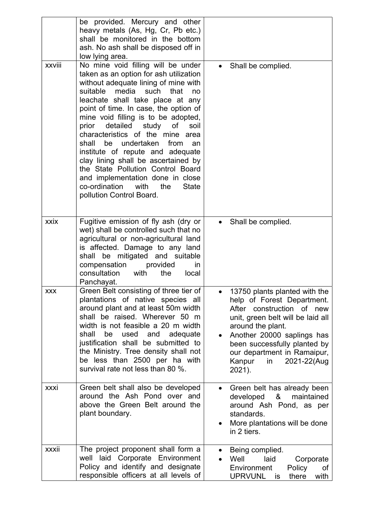| xxviii     | be provided. Mercury and other<br>heavy metals (As, Hg, Cr, Pb etc.)<br>shall be monitored in the bottom<br>ash. No ash shall be disposed off in<br>low lying area.<br>No mine void filling will be under                                                                                                                                                                                                                                                                                                                                                                           | • Shall be complied.                                                                                                                                                                                                                                                                                  |
|------------|-------------------------------------------------------------------------------------------------------------------------------------------------------------------------------------------------------------------------------------------------------------------------------------------------------------------------------------------------------------------------------------------------------------------------------------------------------------------------------------------------------------------------------------------------------------------------------------|-------------------------------------------------------------------------------------------------------------------------------------------------------------------------------------------------------------------------------------------------------------------------------------------------------|
|            | taken as an option for ash utilization<br>without adequate lining of mine with<br>suitable media such that<br>no<br>leachate shall take place at any<br>point of time. In case, the option of<br>mine void filling is to be adopted,<br>prior detailed study of<br>soil<br>characteristics of the mine area<br>shall<br>be undertaken<br>from<br>an<br>institute of repute and adequate<br>clay lining shall be ascertained by<br>the State Pollution Control Board<br>and implementation done in close<br>co-ordination<br>with<br>the<br><b>State</b><br>pollution Control Board. |                                                                                                                                                                                                                                                                                                       |
| xxix       | Fugitive emission of fly ash (dry or<br>wet) shall be controlled such that no<br>agricultural or non-agricultural land<br>is affected. Damage to any land<br>be mitigated and suitable<br>shall<br>compensation<br>provided<br>in<br>consultation<br>with<br>the<br>local<br>Panchayat.                                                                                                                                                                                                                                                                                             | Shall be complied.<br>$\bullet$                                                                                                                                                                                                                                                                       |
| <b>XXX</b> | Green Belt consisting of three tier of<br>plantations of native species all<br>around plant and at least 50m width<br>shall be raised. Wherever 50 m<br>width is not feasible a 20 m width<br>shall<br>be<br>used<br>and<br>adequate<br>justification shall be submitted to<br>the Ministry. Tree density shall not<br>be less than 2500 per ha with<br>survival rate not less than 80 %.                                                                                                                                                                                           | 13750 plants planted with the<br>help of Forest Department.<br>After construction of new<br>unit, green belt will be laid all<br>around the plant.<br>Another 20000 saplings has<br>$\bullet$<br>been successfully planted by<br>our department in Ramaipur,<br>2021-22(Aug<br>Kanpur<br>in<br>2021). |
| xxxi       | Green belt shall also be developed<br>around the Ash Pond over and<br>above the Green Belt around the<br>plant boundary.                                                                                                                                                                                                                                                                                                                                                                                                                                                            | Green belt has already been<br>$\bullet$<br>&<br>developed<br>maintained<br>around Ash Pond, as per<br>standards.<br>More plantations will be done<br>in 2 tiers.                                                                                                                                     |
| xxxii      | The project proponent shall form a<br>Corporate Environment<br>well laid<br>Policy and identify and designate<br>responsible officers at all levels of                                                                                                                                                                                                                                                                                                                                                                                                                              | Being complied.<br>Well<br>laid<br>Corporate<br>Environment<br>Policy<br>οf<br>UPRVUNL<br>there<br>with<br>is                                                                                                                                                                                         |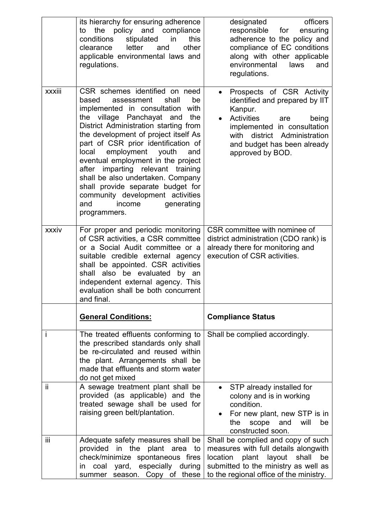|              | its hierarchy for ensuring adherence<br>the policy and compliance<br>to<br>stipulated<br>conditions<br>in<br>this<br>clearance<br>letter<br>and<br>other<br>applicable environmental laws and<br>regulations.                                                                                                                                                                                                                                                                                                                                       | officers<br>designated<br>responsible<br>ensuring<br>for<br>adherence to the policy and<br>compliance of EC conditions<br>along with other applicable<br>environmental<br>laws<br>and<br>regulations.                                  |
|--------------|-----------------------------------------------------------------------------------------------------------------------------------------------------------------------------------------------------------------------------------------------------------------------------------------------------------------------------------------------------------------------------------------------------------------------------------------------------------------------------------------------------------------------------------------------------|----------------------------------------------------------------------------------------------------------------------------------------------------------------------------------------------------------------------------------------|
| xxxiii       | CSR schemes identified on need<br>assessment<br>shall<br>be<br>based<br>implemented in consultation with<br>the village Panchayat and<br>the<br>District Administration starting from<br>the development of project itself As<br>part of CSR prior identification of<br>employment youth<br>local<br>and<br>eventual employment in the project<br>imparting relevant training<br>after<br>shall be also undertaken. Company<br>shall provide separate budget for<br>community development activities<br>generating<br>and<br>income<br>programmers. | Prospects of CSR Activity<br>$\bullet$<br>identified and prepared by IIT<br>Kanpur.<br>Activities<br>being<br>are<br>implemented in consultation<br>district Administration<br>with<br>and budget has been already<br>approved by BOD. |
| xxxiv        | For proper and periodic monitoring<br>of CSR activities, a CSR committee<br>or a Social Audit committee or a<br>suitable credible external agency<br>shall be appointed. CSR activities<br>shall also be evaluated by an<br>independent external agency. This<br>evaluation shall be both concurrent<br>and final.                                                                                                                                                                                                                                  | CSR committee with nominee of<br>district administration (CDO rank) is<br>already there for monitoring and<br>execution of CSR activities.                                                                                             |
|              | <b>General Conditions:</b>                                                                                                                                                                                                                                                                                                                                                                                                                                                                                                                          | <b>Compliance Status</b>                                                                                                                                                                                                               |
| $\mathbf{I}$ | The treated effluents conforming to<br>the prescribed standards only shall<br>be re-circulated and reused within<br>the plant. Arrangements shall be<br>made that effluents and storm water<br>do not get mixed                                                                                                                                                                                                                                                                                                                                     | Shall be complied accordingly.                                                                                                                                                                                                         |
| ii.          | A sewage treatment plant shall be<br>provided (as applicable) and the<br>treated sewage shall be used for<br>raising green belt/plantation.                                                                                                                                                                                                                                                                                                                                                                                                         | STP already installed for<br>$\bullet$<br>colony and is in working<br>condition.<br>For new plant, new STP is in<br>scope and<br>will<br>the<br>be<br>constructed soon.                                                                |
| iii          | Adequate safety measures shall be<br>provided in the plant area to<br>check/minimize spontaneous fires<br>especially<br>coal<br>yard,<br>during<br>in.<br>season. Copy of these<br>summer                                                                                                                                                                                                                                                                                                                                                           | Shall be complied and copy of such<br>measures with full details alongwith<br>location<br>plant<br>layout<br>shall<br>be<br>submitted to the ministry as well as<br>to the regional office of the ministry.                            |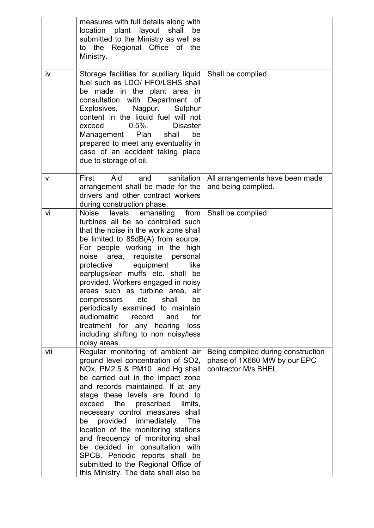|     | measures with full details along with<br>plant layout shall<br>location<br>be<br>submitted to the Ministry as well as<br>to the Regional Office of the<br>Ministry.                                                                                                                                                                                                                                                                                                                                                                                                                   |                                                                                            |
|-----|---------------------------------------------------------------------------------------------------------------------------------------------------------------------------------------------------------------------------------------------------------------------------------------------------------------------------------------------------------------------------------------------------------------------------------------------------------------------------------------------------------------------------------------------------------------------------------------|--------------------------------------------------------------------------------------------|
| iv  | Storage facilities for auxiliary liquid<br>fuel such as LDO/ HFO/LSHS shall<br>be made in the plant area in<br>consultation with Department of<br>Explosives,<br>Nagpur.<br>Sulphur<br>content in the liquid fuel will not<br>$0.5\%$ .<br><b>Disaster</b><br>exceed<br>Management Plan<br>be<br>shall<br>prepared to meet any eventuality in<br>case of an accident taking place<br>due to storage of oil.                                                                                                                                                                           | Shall be complied.                                                                         |
| v   | Aid<br>sanitation<br>First<br>and<br>arrangement shall be made for the<br>drivers and other contract workers<br>during construction phase.                                                                                                                                                                                                                                                                                                                                                                                                                                            | All arrangements have been made<br>and being complied.                                     |
| vi  | levels<br>Noise<br>emanating from<br>turbines all be so controlled such<br>that the noise in the work zone shall<br>be limited to 85dB(A) from source.<br>For people working in the high<br>area, requisite personal<br>noise<br>protective<br>equipment<br>like<br>earplugs/ear muffs etc. shall be<br>provided. Workers engaged in noisy<br>areas such as turbine area, air<br>compressors etc shall<br>be<br>periodically examined to maintain<br>audiometric<br>record<br>and<br>for<br>treatment for any hearing<br>loss<br>including shifting to non noisy/less<br>noisy areas. | Shall be complied.                                                                         |
| vii | Regular monitoring of ambient air<br>ground level concentration of SO2,<br>NOx, PM2.5 & PM10 and Hg shall<br>be carried out in the impact zone<br>and records maintained. If at any<br>stage these levels are found to<br>prescribed<br>exceed the<br>limits,<br>necessary control measures shall<br>provided<br>immediately.<br>The<br>be<br>location of the monitoring stations<br>and frequency of monitoring shall<br>be decided in consultation with<br>SPCB. Periodic reports shall be<br>submitted to the Regional Office of<br>this Ministry. The data shall also be          | Being complied during construction<br>phase of 1X660 MW by our EPC<br>contractor M/s BHEL. |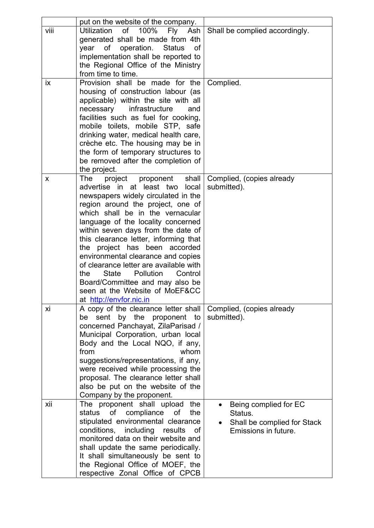|      | put on the website of the company.                                                                                                                                                                                                                                                                                                                                                                                                                                                                                                                                              |                                                                                         |
|------|---------------------------------------------------------------------------------------------------------------------------------------------------------------------------------------------------------------------------------------------------------------------------------------------------------------------------------------------------------------------------------------------------------------------------------------------------------------------------------------------------------------------------------------------------------------------------------|-----------------------------------------------------------------------------------------|
| viii | of 100%<br><b>Utilization</b><br>Fly Ash<br>generated shall be made from 4th<br>of<br>operation.<br><b>Status</b><br>year<br>of<br>implementation shall be reported to<br>the Regional Office of the Ministry<br>from time to time.                                                                                                                                                                                                                                                                                                                                             | Shall be complied accordingly.                                                          |
| ix   | Provision shall be made for the<br>housing of construction labour (as<br>applicable) within the site with all<br>infrastructure<br>necessary<br>and<br>facilities such as fuel for cooking,<br>mobile toilets, mobile STP, safe<br>drinking water, medical health care,<br>crèche etc. The housing may be in<br>the form of temporary structures to<br>be removed after the completion of<br>the project.                                                                                                                                                                       | Complied.                                                                               |
| X    | project proponent<br>shall<br>The<br>advertise in at least two<br>local<br>newspapers widely circulated in the<br>region around the project, one of<br>which shall be in the vernacular<br>language of the locality concerned<br>within seven days from the date of<br>this clearance letter, informing that<br>project has been accorded<br>the<br>environmental clearance and copies<br>of clearance letter are available with<br><b>State</b><br>Pollution<br>Control<br>the<br>Board/Committee and may also be<br>seen at the Website of MoEF&CC<br>at http://envfor.nic.in | Complied, (copies already<br>submitted).                                                |
| xi   | A copy of the clearance letter shall<br>sent by the proponent to<br>be<br>concerned Panchayat, ZilaParisad /<br>Municipal Corporation, urban local<br>Body and the Local NQO, if any,<br>from<br>whom<br>suggestions/representations, if any,<br>were received while processing the<br>proposal. The clearance letter shall<br>also be put on the website of the<br>Company by the proponent.                                                                                                                                                                                   | Complied, (copies already<br>submitted).                                                |
| xii  | The proponent shall upload the<br>of<br>compliance<br>status<br>the<br>of<br>stipulated environmental clearance<br>conditions, including results<br>of<br>monitored data on their website and<br>shall update the same periodically.<br>It shall simultaneously be sent to<br>the Regional Office of MOEF, the<br>respective Zonal Office of CPCB                                                                                                                                                                                                                               | Being complied for EC<br>Status.<br>Shall be complied for Stack<br>Emissions in future. |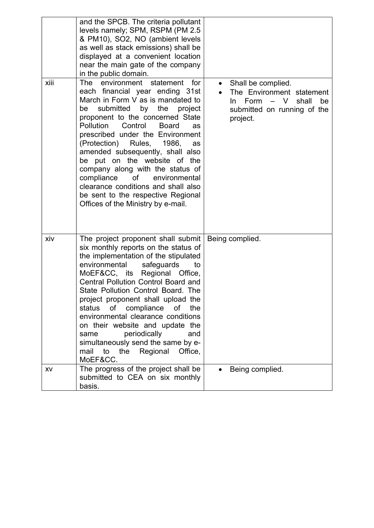| xiii | and the SPCB. The criteria pollutant<br>levels namely; SPM, RSPM (PM 2.5)<br>& PM10), SO2, NO (ambient levels<br>as well as stack emissions) shall be<br>displayed at a convenient location<br>near the main gate of the company<br>in the public domain.<br>The environment statement<br>for<br>each financial year ending 31st<br>March in Form V as is mandated to<br>submitted<br>the<br>by<br>project<br>be<br>proponent to the concerned State<br><b>Pollution</b><br>Control<br><b>Board</b><br><b>as</b><br>prescribed under the Environment<br>(Protection)<br>Rules, 1986,<br>as<br>amended subsequently, shall also<br>be put on the website of the<br>company along with the status of<br>compliance<br>of<br>environmental<br>clearance conditions and shall also<br>be sent to the respective Regional<br>Offices of the Ministry by e-mail. | Shall be complied.<br>The Environment statement<br>$\mathsf{V}$<br>shall<br>Form<br>be<br>$\overline{\phantom{m}}$<br>In.<br>submitted on running of the<br>project. |
|------|------------------------------------------------------------------------------------------------------------------------------------------------------------------------------------------------------------------------------------------------------------------------------------------------------------------------------------------------------------------------------------------------------------------------------------------------------------------------------------------------------------------------------------------------------------------------------------------------------------------------------------------------------------------------------------------------------------------------------------------------------------------------------------------------------------------------------------------------------------|----------------------------------------------------------------------------------------------------------------------------------------------------------------------|
| xiv  | The project proponent shall submit<br>six monthly reports on the status of<br>the implementation of the stipulated<br>environmental<br>safeguards<br>to<br>MoEF&CC, its Regional Office,<br><b>Central Pollution Control Board and</b><br>State Pollution Control Board. The<br>project proponent shall upload the<br>of compliance<br>status<br>of<br>the<br>environmental clearance conditions<br>on their website and update the<br>periodically<br>same<br>and<br>simultaneously send the same by e-<br>Regional<br>the<br>Office,<br>mail<br>to<br>MoEF&CC.                                                                                                                                                                                                                                                                                           | Being complied.                                                                                                                                                      |
| XV   | The progress of the project shall be<br>submitted to CEA on six monthly<br>basis.                                                                                                                                                                                                                                                                                                                                                                                                                                                                                                                                                                                                                                                                                                                                                                          | Being complied.                                                                                                                                                      |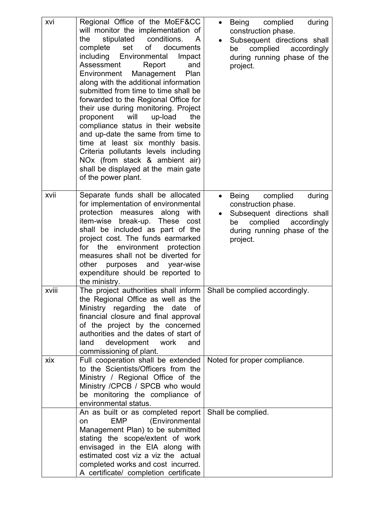| xvi   | Regional Office of the MoEF&CC<br>will monitor the implementation of<br>stipulated conditions.<br>the<br>$\mathsf{A}$<br>of<br>set<br>documents<br>complete<br>including Environmental<br>Impact<br>Assessment<br>Report<br>and<br>Management<br>Plan<br>Environment<br>along with the additional information<br>submitted from time to time shall be<br>forwarded to the Regional Office for<br>their use during monitoring. Project<br>proponent<br>will<br>up-load<br>the<br>compliance status in their website<br>and up-date the same from time to<br>time at least six monthly basis.<br>Criteria pollutants levels including<br>NOx (from stack & ambient air)<br>shall be displayed at the main gate<br>of the power plant. | Being complied<br>during<br>$\bullet$<br>construction phase.<br>Subsequent directions shall<br>complied<br>accordingly<br>be<br>during running phase of the<br>project.    |
|-------|-------------------------------------------------------------------------------------------------------------------------------------------------------------------------------------------------------------------------------------------------------------------------------------------------------------------------------------------------------------------------------------------------------------------------------------------------------------------------------------------------------------------------------------------------------------------------------------------------------------------------------------------------------------------------------------------------------------------------------------|----------------------------------------------------------------------------------------------------------------------------------------------------------------------------|
| xvii  | Separate funds shall be allocated<br>for implementation of environmental<br>protection measures along<br>with<br>item-wise<br>break-up.<br>These<br>cost<br>shall be included as part of the<br>project cost. The funds earmarked<br>for the<br>environment protection<br>measures shall not be diverted for<br>other<br>purposes and year-wise<br>expenditure should be reported to<br>the ministry.                                                                                                                                                                                                                                                                                                                               | Being<br>complied<br>during<br>$\bullet$<br>construction phase.<br>Subsequent directions shall<br>complied<br>accordingly<br>be<br>during running phase of the<br>project. |
| xviii | The project authorities shall inform $\vert$ Shall be complied accordingly.<br>the Regional Office as well as the<br>Ministry regarding<br>the<br>date<br>0f<br>financial closure and final approval<br>of the project by the concerned<br>authorities and the dates of start of<br>development work<br>land<br>and<br>commissioning of plant.                                                                                                                                                                                                                                                                                                                                                                                      |                                                                                                                                                                            |
| xix   | Full cooperation shall be extended<br>to the Scientists/Officers from the<br>Ministry / Regional Office of the<br>Ministry / CPCB / SPCB who would<br>be monitoring the compliance of<br>environmental status.                                                                                                                                                                                                                                                                                                                                                                                                                                                                                                                      | Noted for proper compliance.                                                                                                                                               |
|       | An as built or as completed report<br><b>EMP</b><br>(Environmental<br><b>on</b><br>Management Plan) to be submitted<br>stating the scope/extent of work<br>envisaged in the EIA along with<br>estimated cost viz a viz the actual<br>completed works and cost incurred.<br>A certificate/ completion certificate                                                                                                                                                                                                                                                                                                                                                                                                                    | Shall be complied.                                                                                                                                                         |